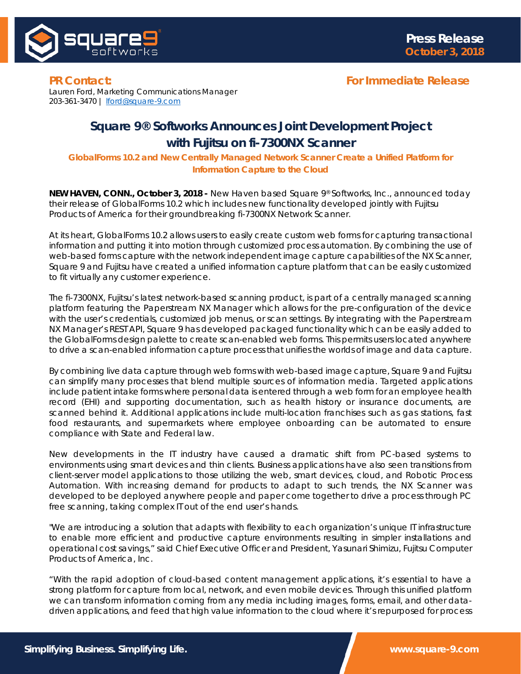

## **PR Contact: For Immediate Release**

Lauren Ford, Marketing Communications Manager 203-361-3470 | [lford@square-9.com](mailto:lford@square-9.com)

# **Square 9® Softworks Announces Joint Development Project**

## **with Fujitsu on fi-7300NX Scanner**

*GlobalForms 10.2 and New Centrally Managed Network Scanner Create a Unified Platform for Information Capture to the Cloud*

**NEW HAVEN, CONN., October 3, 2018 -** New Haven based Square 9® Softworks, Inc., announced today their release of GlobalForms 10.2 which includes new functionality developed jointly with Fujitsu Products of America for their groundbreaking fi-7300NX Network Scanner.

At its heart, GlobalForms 10.2 allows users to easily create custom web forms for capturing transactional information and putting it into motion through customized process automation. By combining the use of web-based forms capture with the network independent image capture capabilities of the NX Scanner, Square 9 and Fujitsu have created a unified information capture platform that can be easily customized to fit virtually any customer experience.

The fi-7300NX, Fujitsu's latest network-based scanning product, is part of a centrally managed scanning platform featuring the Paperstream NX Manager which allows for the pre-configuration of the device with the user's credentials, customized job menus, or scan settings. By integrating with the Paperstream NX Manager's REST API, Square 9 has developed packaged functionality which can be easily added to the GlobalForms design palette to create scan-enabled web forms. This permits users located anywhere to drive a scan-enabled information capture process that unifies the worlds of image and data capture.

By combining live data capture through web forms with web-based image capture, Square 9 and Fujitsu can simplify many processes that blend multiple sources of information media. Targeted applications include patient intake forms where personal data is entered through a web form for an employee health record (EHI) and supporting documentation, such as health history or insurance documents, are scanned behind it. Additional applications include multi-location franchises such as gas stations, fast food restaurants, and supermarkets where employee onboarding can be automated to ensure compliance with State and Federal law.

New developments in the IT industry have caused a dramatic shift from PC-based systems to environments using smart devices and thin clients. Business applications have also seen transitions from client-server model applications to those utilizing the web, smart devices, cloud, and Robotic Process Automation. With increasing demand for products to adapt to such trends, the NX Scanner was developed to be deployed anywhere people and paper come together to drive a process through PC free scanning, taking complex IT out of the end user's hands.

"We are introducing a solution that adapts with flexibility to each organization's unique IT infrastructure to enable more efficient and productive capture environments resulting in simpler installations and operational cost savings," said Chief Executive Officer and President, Yasunari Shimizu, Fujitsu Computer Products of America, Inc.

"With the rapid adoption of cloud-based content management applications, it's essential to have a strong platform for capture from local, network, and even mobile devices. Through this unified platform we can transform information coming from any media including images, forms, email, and other datadriven applications, and feed that high value information to the cloud where it's repurposed for process